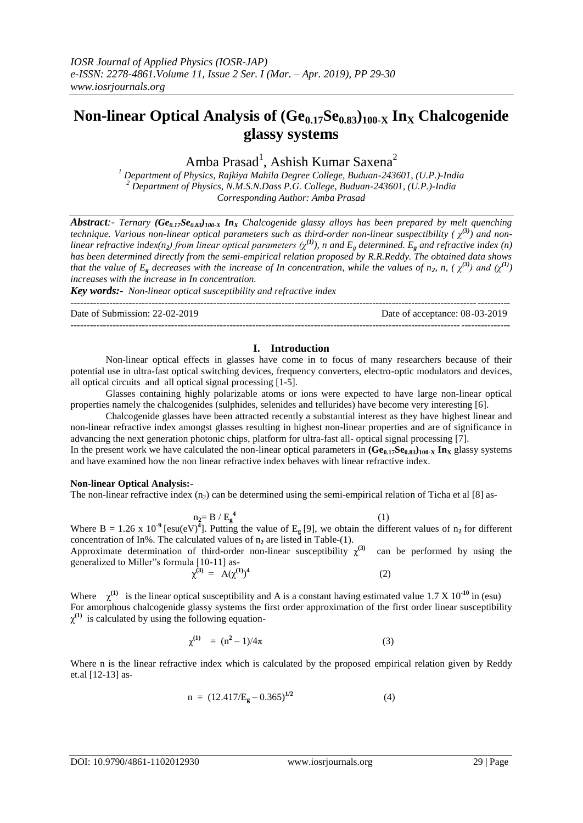# **Non-linear Optical Analysis of (Ge0.17Se0.83)100-X In<sup>X</sup> Chalcogenide glassy systems**

Amba Prasad<sup>1</sup>, Ashish Kumar Saxena<sup>2</sup>

*<sup>1</sup> Department of Physics, Rajkiya Mahila Degree College, Buduan-243601, (U.P.)-India <sup>2</sup> Department of Physics, N.M.S.N.Dass P.G. College, Buduan-243601, (U.P.)-India Corresponding Author: Amba Prasad*

*Abstract:- Ternary (Ge0.17Se0.83)100-X In<sup>X</sup> Chalcogenide glassy alloys has been prepared by melt quenching technique. Various non-linear optical parameters such as third-order non-linear suspectibility (*  $\chi^{(3)}$ *) and nonlinear refractive index(n2) from linear optical parameters (χ(1)), n and E<sup>g</sup> determined. E<sup>g</sup> and refractive index (n) has been determined directly from the semi-empirical relation proposed by R.R.Reddy. The obtained data shows that the value of E<sub>g</sub> decreases with the increase of In concentration, while the values of n<sub>2</sub>, n, (* $\chi$ *<sup>(3)</sup>) and (* $\chi$ *<sup>(1)</sup>) increases with the increase in In concentration.*

---------------------------------------------------------------------------------------------------------------------------------------

*Key words:- Non-linear optical susceptibility and refractive index*

---------------------------------------------------------------------------------------------------------------------------------------

Date of Submission: 22-02-2019 Date of acceptance: 08-03-2019

## **I. Introduction**

Non-linear optical effects in glasses have come in to focus of many researchers because of their potential use in ultra-fast optical switching devices, frequency converters, electro-optic modulators and devices, all optical circuits and all optical signal processing [1-5].

Glasses containing highly polarizable atoms or ions were expected to have large non-linear optical properties namely the chalcogenides (sulphides, selenides and tellurides) have become very interesting [6].

Chalcogenide glasses have been attracted recently a substantial interest as they have highest linear and non-linear refractive index amongst glasses resulting in highest non-linear properties and are of significance in advancing the next generation photonic chips, platform for ultra-fast all- optical signal processing [7]. In the present work we have calculated the non-linear optical parameters in  $(\mathbf{Ge}_{0.17}\mathbf{Se}_{0.83})_{100\text{-}X} \mathbf{In}_X$  glassy systems and have examined how the non linear refractive index behaves with linear refractive index.

#### **Non-linear Optical Analysis:-**

The non-linear refractive index  $(n_2)$  can be determined using the semi-empirical relation of Ticha et al [8] as-

 $n_2 = B / E_g^4$  $(1)$ 

Where B = 1.26 x 10<sup>-9</sup> [esu(eV)<sup>4</sup>]. Putting the value of E<sub>g</sub> [9], we obtain the different values of n<sub>2</sub> for different concentration of In%. The calculated values of  $n_2$  are listed in Table-(1).

Approximate determination of third-order non-linear susceptibility  $\chi^{(3)}$  can be performed by using the generalized to Miller"s formula [10-11] as-

$$
\chi^{(3)} = A(\chi^{(1)})^4 \tag{2}
$$

Where  $\chi^{(1)}$  is the linear optical susceptibility and A is a constant having estimated value 1.7 X 10<sup>-10</sup> in (esu) For amorphous chalcogenide glassy systems the first order approximation of the first order linear susceptibility  $\chi^{(1)}$  is calculated by using the following equation-

$$
\chi^{(1)} = (n^2 - 1)/4\pi \tag{3}
$$

Where n is the linear refractive index which is calculated by the proposed empirical relation given by Reddy et.al [12-13] as-

$$
n = (12.417/Eg - 0.365)^{1/2}
$$
 (4)